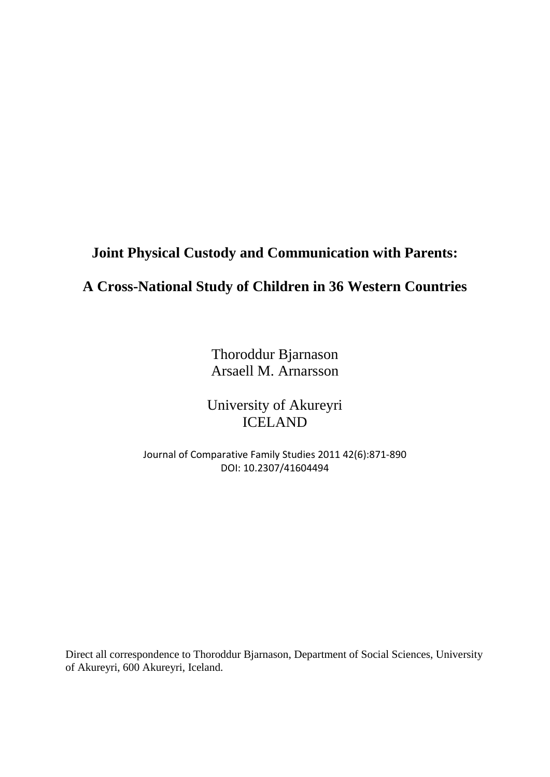# **Joint Physical Custody and Communication with Parents:**

## **A Cross-National Study of Children in 36 Western Countries**

Thoroddur Bjarnason Arsaell M. Arnarsson

University of Akureyri ICELAND

Journal of Comparative Family Studies 2011 42(6):871-890 DOI: 10.2307/41604494

Direct all correspondence to Thoroddur Bjarnason, Department of Social Sciences, University of Akureyri, 600 Akureyri, Iceland.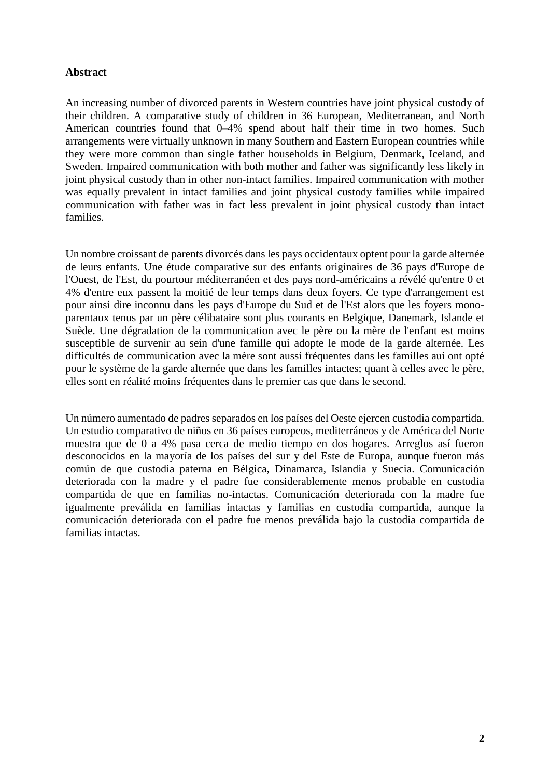### **Abstract**

An increasing number of divorced parents in Western countries have joint physical custody of their children. A comparative study of children in 36 European, Mediterranean, and North American countries found that 0–4% spend about half their time in two homes. Such arrangements were virtually unknown in many Southern and Eastern European countries while they were more common than single father households in Belgium, Denmark, Iceland, and Sweden. Impaired communication with both mother and father was significantly less likely in joint physical custody than in other non-intact families. Impaired communication with mother was equally prevalent in intact families and joint physical custody families while impaired communication with father was in fact less prevalent in joint physical custody than intact families.

Un nombre croissant de parents divorcés dans les pays occidentaux optent pour la garde alternée de leurs enfants. Une étude comparative sur des enfants originaires de 36 pays d'Europe de l'Ouest, de l'Est, du pourtour méditerranéen et des pays nord-américains a révélé qu'entre 0 et 4% d'entre eux passent la moitié de leur temps dans deux foyers. Ce type d'arrangement est pour ainsi dire inconnu dans les pays d'Europe du Sud et de l'Est alors que les foyers monoparentaux tenus par un père célibataire sont plus courants en Belgique, Danemark, Islande et Suède. Une dégradation de la communication avec le père ou la mère de l'enfant est moins susceptible de survenir au sein d'une famille qui adopte le mode de la garde alternée. Les difficultés de communication avec la mère sont aussi fréquentes dans les familles aui ont opté pour le système de la garde alternée que dans les familles intactes; quant à celles avec le père, elles sont en réalité moins fréquentes dans le premier cas que dans le second.

Un número aumentado de padres separados en los países del Oeste ejercen custodia compartida. Un estudio comparativo de niños en 36 países europeos, mediterráneos y de América del Norte muestra que de 0 a 4% pasa cerca de medio tiempo en dos hogares. Arreglos así fueron desconocidos en la mayoría de los países del sur y del Este de Europa, aunque fueron más común de que custodia paterna en Bélgica, Dinamarca, Islandia y Suecia. Comunicación deteriorada con la madre y el padre fue considerablemente menos probable en custodia compartida de que en familias no-intactas. Comunicación deteriorada con la madre fue igualmente preválida en familias intactas y familias en custodia compartida, aunque la comunicación deteriorada con el padre fue menos preválida bajo la custodia compartida de familias intactas.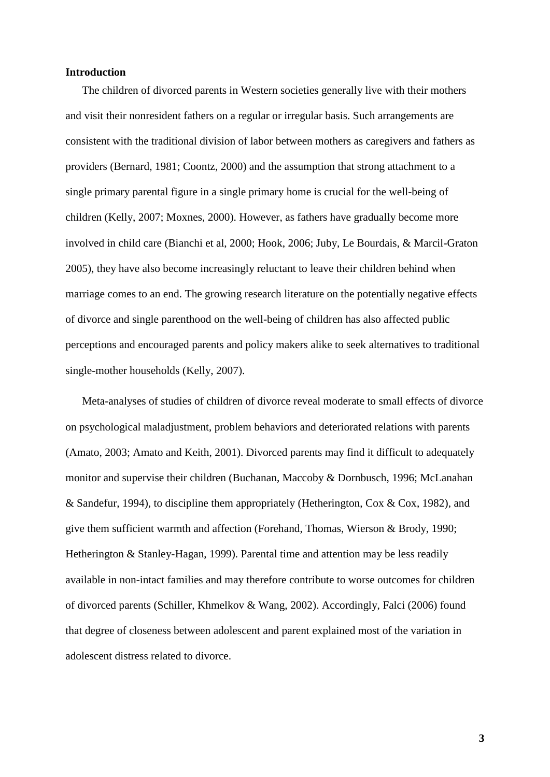#### **Introduction**

The children of divorced parents in Western societies generally live with their mothers and visit their nonresident fathers on a regular or irregular basis. Such arrangements are consistent with the traditional division of labor between mothers as caregivers and fathers as providers (Bernard, 1981; Coontz, 2000) and the assumption that strong attachment to a single primary parental figure in a single primary home is crucial for the well-being of children (Kelly, 2007; Moxnes, 2000). However, as fathers have gradually become more involved in child care (Bianchi et al, 2000; Hook, 2006; Juby, Le Bourdais, & Marcil-Graton 2005), they have also become increasingly reluctant to leave their children behind when marriage comes to an end. The growing research literature on the potentially negative effects of divorce and single parenthood on the well-being of children has also affected public perceptions and encouraged parents and policy makers alike to seek alternatives to traditional single-mother households (Kelly, 2007).

Meta-analyses of studies of children of divorce reveal moderate to small effects of divorce on psychological maladjustment, problem behaviors and deteriorated relations with parents (Amato, 2003; Amato and Keith, 2001). Divorced parents may find it difficult to adequately monitor and supervise their children (Buchanan, Maccoby & Dornbusch, 1996; McLanahan & Sandefur, 1994), to discipline them appropriately (Hetherington, Cox & Cox, 1982), and give them sufficient warmth and affection (Forehand, Thomas, Wierson & Brody, 1990; Hetherington & Stanley-Hagan, 1999). Parental time and attention may be less readily available in non-intact families and may therefore contribute to worse outcomes for children of divorced parents (Schiller, Khmelkov & Wang, 2002). Accordingly, Falci (2006) found that degree of closeness between adolescent and parent explained most of the variation in adolescent distress related to divorce.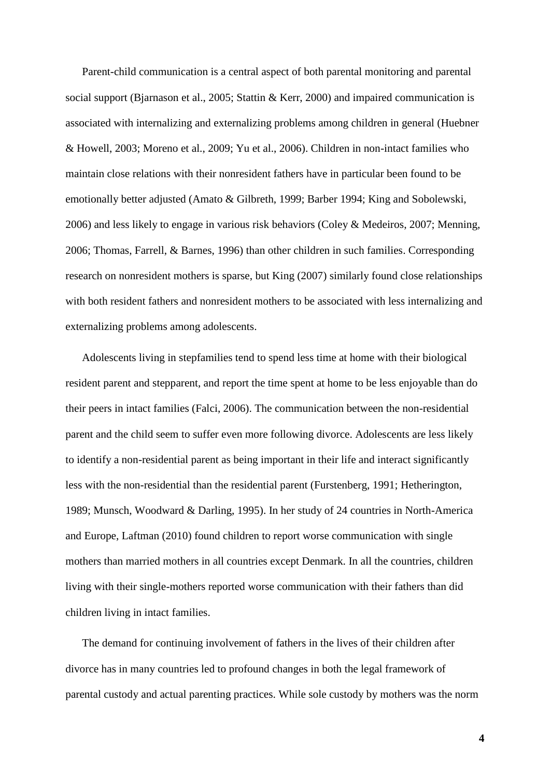Parent-child communication is a central aspect of both parental monitoring and parental social support (Bjarnason et al., 2005; Stattin & Kerr, 2000) and impaired communication is associated with internalizing and externalizing problems among children in general (Huebner & Howell, 2003; Moreno et al., 2009; Yu et al., 2006). Children in non-intact families who maintain close relations with their nonresident fathers have in particular been found to be emotionally better adjusted (Amato & Gilbreth, 1999; Barber 1994; King and Sobolewski, 2006) and less likely to engage in various risk behaviors (Coley & Medeiros, 2007; Menning, 2006; Thomas, Farrell, & Barnes, 1996) than other children in such families. Corresponding research on nonresident mothers is sparse, but King (2007) similarly found close relationships with both resident fathers and nonresident mothers to be associated with less internalizing and externalizing problems among adolescents.

Adolescents living in stepfamilies tend to spend less time at home with their biological resident parent and stepparent, and report the time spent at home to be less enjoyable than do their peers in intact families (Falci, 2006). The communication between the non-residential parent and the child seem to suffer even more following divorce. Adolescents are less likely to identify a non-residential parent as being important in their life and interact significantly less with the non-residential than the residential parent (Furstenberg, 1991; Hetherington, 1989; Munsch, Woodward & Darling, 1995). In her study of 24 countries in North-America and Europe, Laftman (2010) found children to report worse communication with single mothers than married mothers in all countries except Denmark. In all the countries, children living with their single-mothers reported worse communication with their fathers than did children living in intact families.

The demand for continuing involvement of fathers in the lives of their children after divorce has in many countries led to profound changes in both the legal framework of parental custody and actual parenting practices. While sole custody by mothers was the norm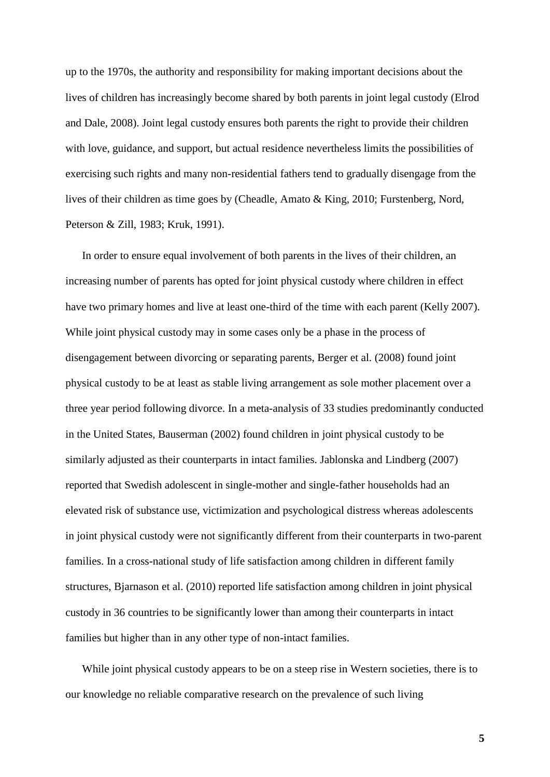up to the 1970s, the authority and responsibility for making important decisions about the lives of children has increasingly become shared by both parents in joint legal custody (Elrod and Dale, 2008). Joint legal custody ensures both parents the right to provide their children with love, guidance, and support, but actual residence nevertheless limits the possibilities of exercising such rights and many non-residential fathers tend to gradually disengage from the lives of their children as time goes by (Cheadle, Amato & King, 2010; Furstenberg, Nord, Peterson & Zill, 1983; Kruk, 1991).

In order to ensure equal involvement of both parents in the lives of their children, an increasing number of parents has opted for joint physical custody where children in effect have two primary homes and live at least one-third of the time with each parent (Kelly 2007). While joint physical custody may in some cases only be a phase in the process of disengagement between divorcing or separating parents, Berger et al. (2008) found joint physical custody to be at least as stable living arrangement as sole mother placement over a three year period following divorce. In a meta-analysis of 33 studies predominantly conducted in the United States, Bauserman (2002) found children in joint physical custody to be similarly adjusted as their counterparts in intact families. Jablonska and Lindberg (2007) reported that Swedish adolescent in single-mother and single-father households had an elevated risk of substance use, victimization and psychological distress whereas adolescents in joint physical custody were not significantly different from their counterparts in two-parent families. In a cross-national study of life satisfaction among children in different family structures, Bjarnason et al. (2010) reported life satisfaction among children in joint physical custody in 36 countries to be significantly lower than among their counterparts in intact families but higher than in any other type of non-intact families.

While joint physical custody appears to be on a steep rise in Western societies, there is to our knowledge no reliable comparative research on the prevalence of such living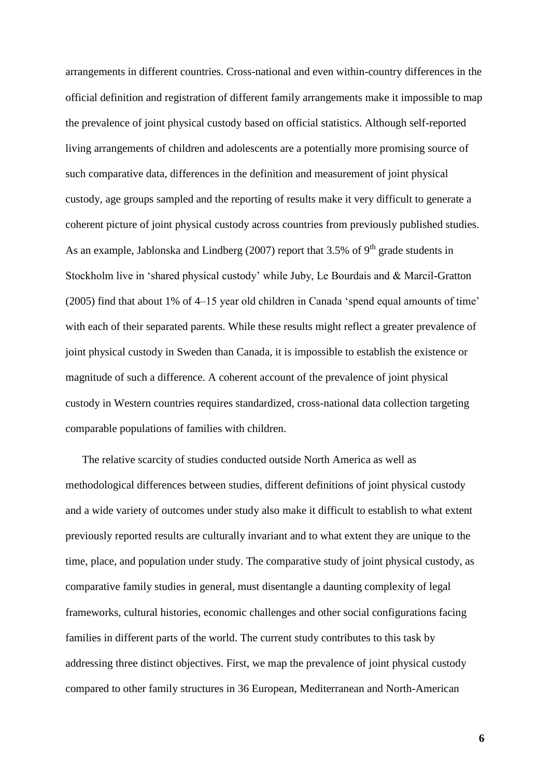arrangements in different countries. Cross-national and even within-country differences in the official definition and registration of different family arrangements make it impossible to map the prevalence of joint physical custody based on official statistics. Although self-reported living arrangements of children and adolescents are a potentially more promising source of such comparative data, differences in the definition and measurement of joint physical custody, age groups sampled and the reporting of results make it very difficult to generate a coherent picture of joint physical custody across countries from previously published studies. As an example, Jablonska and Lindberg  $(2007)$  report that 3.5% of 9<sup>th</sup> grade students in Stockholm live in 'shared physical custody' while Juby, Le Bourdais and & Marcil-Gratton (2005) find that about 1% of 4–15 year old children in Canada 'spend equal amounts of time' with each of their separated parents. While these results might reflect a greater prevalence of joint physical custody in Sweden than Canada, it is impossible to establish the existence or magnitude of such a difference. A coherent account of the prevalence of joint physical custody in Western countries requires standardized, cross-national data collection targeting comparable populations of families with children.

The relative scarcity of studies conducted outside North America as well as methodological differences between studies, different definitions of joint physical custody and a wide variety of outcomes under study also make it difficult to establish to what extent previously reported results are culturally invariant and to what extent they are unique to the time, place, and population under study. The comparative study of joint physical custody, as comparative family studies in general, must disentangle a daunting complexity of legal frameworks, cultural histories, economic challenges and other social configurations facing families in different parts of the world. The current study contributes to this task by addressing three distinct objectives. First, we map the prevalence of joint physical custody compared to other family structures in 36 European, Mediterranean and North-American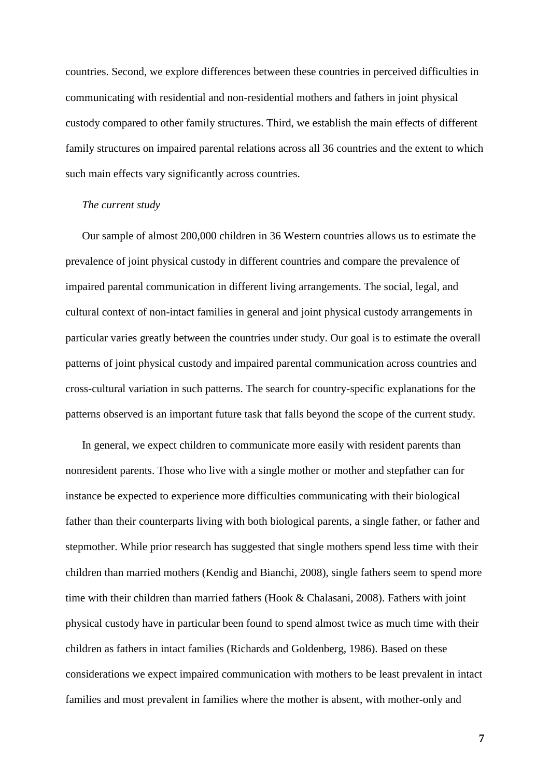countries. Second, we explore differences between these countries in perceived difficulties in communicating with residential and non-residential mothers and fathers in joint physical custody compared to other family structures. Third, we establish the main effects of different family structures on impaired parental relations across all 36 countries and the extent to which such main effects vary significantly across countries.

#### *The current study*

Our sample of almost 200,000 children in 36 Western countries allows us to estimate the prevalence of joint physical custody in different countries and compare the prevalence of impaired parental communication in different living arrangements. The social, legal, and cultural context of non-intact families in general and joint physical custody arrangements in particular varies greatly between the countries under study. Our goal is to estimate the overall patterns of joint physical custody and impaired parental communication across countries and cross-cultural variation in such patterns. The search for country-specific explanations for the patterns observed is an important future task that falls beyond the scope of the current study.

In general, we expect children to communicate more easily with resident parents than nonresident parents. Those who live with a single mother or mother and stepfather can for instance be expected to experience more difficulties communicating with their biological father than their counterparts living with both biological parents, a single father, or father and stepmother. While prior research has suggested that single mothers spend less time with their children than married mothers (Kendig and Bianchi, 2008), single fathers seem to spend more time with their children than married fathers (Hook & Chalasani, 2008). Fathers with joint physical custody have in particular been found to spend almost twice as much time with their children as fathers in intact families (Richards and Goldenberg, 1986). Based on these considerations we expect impaired communication with mothers to be least prevalent in intact families and most prevalent in families where the mother is absent, with mother-only and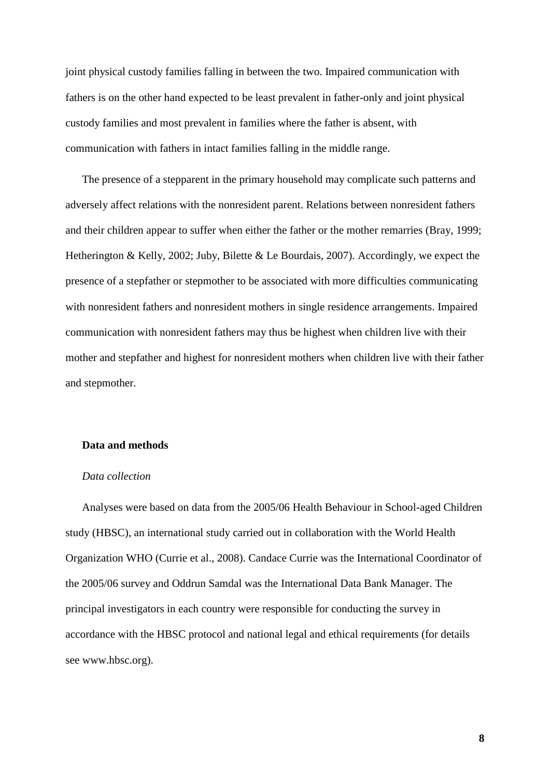joint physical custody families falling in between the two. Impaired communication with fathers is on the other hand expected to be least prevalent in father-only and joint physical custody families and most prevalent in families where the father is absent, with communication with fathers in intact families falling in the middle range.

The presence of a stepparent in the primary household may complicate such patterns and adversely affect relations with the nonresident parent. Relations between nonresident fathers and their children appear to suffer when either the father or the mother remarries (Bray, 1999; Hetherington & Kelly, 2002; Juby, Bilette & Le Bourdais, 2007). Accordingly, we expect the presence of a stepfather or stepmother to be associated with more difficulties communicating with nonresident fathers and nonresident mothers in single residence arrangements. Impaired communication with nonresident fathers may thus be highest when children live with their mother and stepfather and highest for nonresident mothers when children live with their father and stepmother.

#### **Data and methods**

#### *Data collection*

Analyses were based on data from the 2005/06 Health Behaviour in School-aged Children study (HBSC), an international study carried out in collaboration with the World Health Organization WHO (Currie et al., 2008). Candace Currie was the International Coordinator of the 2005/06 survey and Oddrun Samdal was the International Data Bank Manager. The principal investigators in each country were responsible for conducting the survey in accordance with the HBSC protocol and national legal and ethical requirements (for details see [www.hbsc.org\)](http://www.hbsc.org/).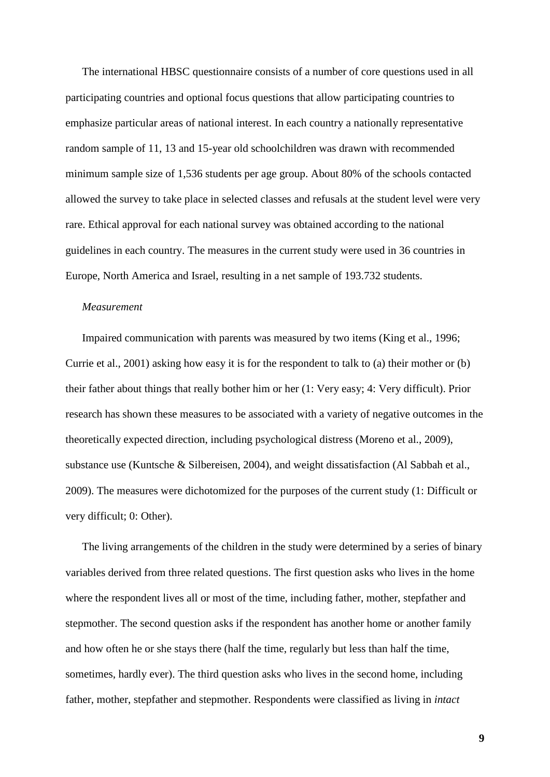The international HBSC questionnaire consists of a number of core questions used in all participating countries and optional focus questions that allow participating countries to emphasize particular areas of national interest. In each country a nationally representative random sample of 11, 13 and 15-year old schoolchildren was drawn with recommended minimum sample size of 1,536 students per age group. About 80% of the schools contacted allowed the survey to take place in selected classes and refusals at the student level were very rare. Ethical approval for each national survey was obtained according to the national guidelines in each country. The measures in the current study were used in 36 countries in Europe, North America and Israel, resulting in a net sample of 193.732 students.

#### *Measurement*

Impaired communication with parents was measured by two items (King et al., 1996; Currie et al., 2001) asking how easy it is for the respondent to talk to (a) their mother or (b) their father about things that really bother him or her (1: Very easy; 4: Very difficult). Prior research has shown these measures to be associated with a variety of negative outcomes in the theoretically expected direction, including psychological distress (Moreno et al., 2009), substance use (Kuntsche & Silbereisen, 2004), and weight dissatisfaction (Al Sabbah et al., 2009). The measures were dichotomized for the purposes of the current study (1: Difficult or very difficult; 0: Other).

The living arrangements of the children in the study were determined by a series of binary variables derived from three related questions. The first question asks who lives in the home where the respondent lives all or most of the time, including father, mother, stepfather and stepmother. The second question asks if the respondent has another home or another family and how often he or she stays there (half the time, regularly but less than half the time, sometimes, hardly ever). The third question asks who lives in the second home, including father, mother, stepfather and stepmother. Respondents were classified as living in *intact*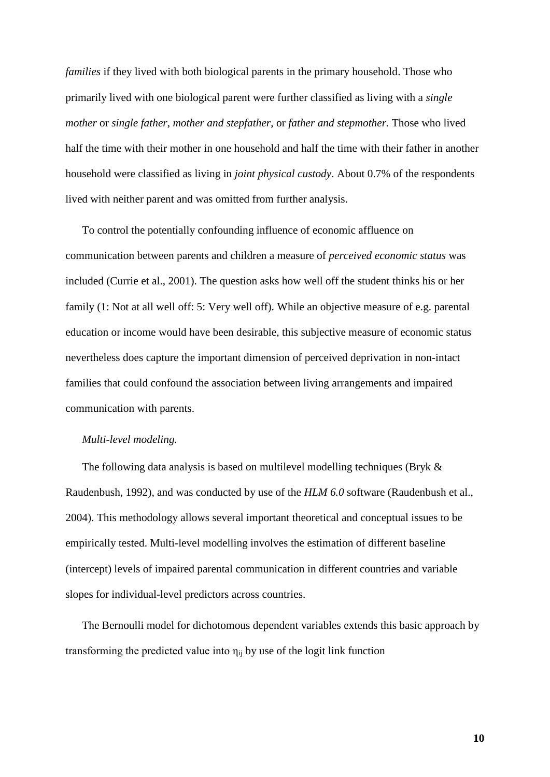*families* if they lived with both biological parents in the primary household. Those who primarily lived with one biological parent were further classified as living with a *single mother* or *single father*, *mother and stepfather*, or *father and stepmother.* Those who lived half the time with their mother in one household and half the time with their father in another household were classified as living in *joint physical custody*. About 0.7% of the respondents lived with neither parent and was omitted from further analysis.

To control the potentially confounding influence of economic affluence on communication between parents and children a measure of *perceived economic status* was included (Currie et al., 2001). The question asks how well off the student thinks his or her family (1: Not at all well off: 5: Very well off). While an objective measure of e.g. parental education or income would have been desirable, this subjective measure of economic status nevertheless does capture the important dimension of perceived deprivation in non-intact families that could confound the association between living arrangements and impaired communication with parents.

#### *Multi-level modeling.*

The following data analysis is based on multilevel modelling techniques (Bryk & Raudenbush, 1992), and was conducted by use of the *HLM 6.0* software (Raudenbush et al., 2004). This methodology allows several important theoretical and conceptual issues to be empirically tested. Multi-level modelling involves the estimation of different baseline (intercept) levels of impaired parental communication in different countries and variable slopes for individual-level predictors across countries.

The Bernoulli model for dichotomous dependent variables extends this basic approach by transforming the predicted value into  $\eta_{ii}$  by use of the logit link function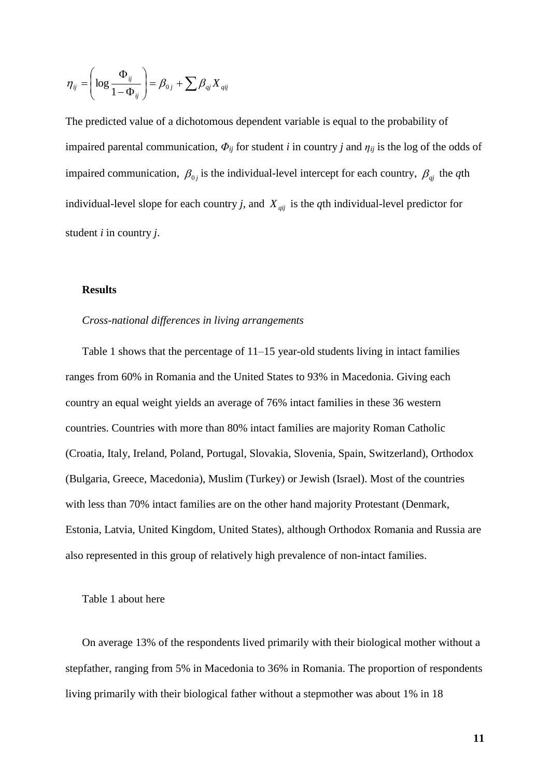$$
\boldsymbol{\eta}_{ij} = \left(\log \frac{\Phi_{ij}}{1 - \Phi_{ij}}\right) = \beta_{0j} + \sum \beta_{ij} X_{qij}
$$

The predicted value of a dichotomous dependent variable is equal to the probability of impaired parental communication,  $\Phi_{ij}$  for student *i* in country *j* and  $\eta_{ij}$  is the log of the odds of impaired communication,  $\beta_{0j}$  is the individual-level intercept for each country,  $\beta_{qi}$  the *q*th individual-level slope for each country *j*, and  $X_{qij}$  is the *q*th individual-level predictor for student *i* in country *j*.

#### **Results**

#### *Cross-national differences in living arrangements*

Table 1 shows that the percentage of 11–15 year-old students living in intact families ranges from 60% in Romania and the United States to 93% in Macedonia. Giving each country an equal weight yields an average of 76% intact families in these 36 western countries. Countries with more than 80% intact families are majority Roman Catholic (Croatia, Italy, Ireland, Poland, Portugal, Slovakia, Slovenia, Spain, Switzerland), Orthodox (Bulgaria, Greece, Macedonia), Muslim (Turkey) or Jewish (Israel). Most of the countries with less than 70% intact families are on the other hand majority Protestant (Denmark, Estonia, Latvia, United Kingdom, United States), although Orthodox Romania and Russia are also represented in this group of relatively high prevalence of non-intact families.

#### Table 1 about here

On average 13% of the respondents lived primarily with their biological mother without a stepfather, ranging from 5% in Macedonia to 36% in Romania. The proportion of respondents living primarily with their biological father without a stepmother was about 1% in 18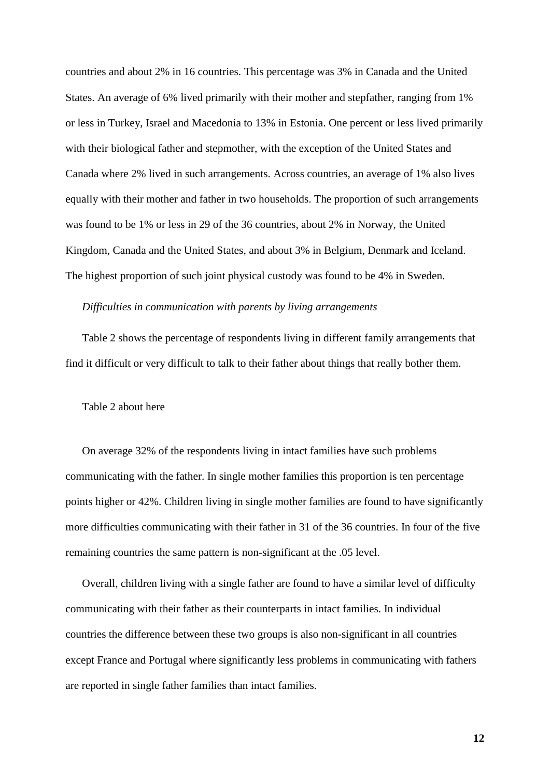countries and about 2% in 16 countries. This percentage was 3% in Canada and the United States. An average of 6% lived primarily with their mother and stepfather, ranging from 1% or less in Turkey, Israel and Macedonia to 13% in Estonia. One percent or less lived primarily with their biological father and stepmother, with the exception of the United States and Canada where 2% lived in such arrangements. Across countries, an average of 1% also lives equally with their mother and father in two households. The proportion of such arrangements was found to be 1% or less in 29 of the 36 countries, about 2% in Norway, the United Kingdom, Canada and the United States, and about 3% in Belgium, Denmark and Iceland. The highest proportion of such joint physical custody was found to be 4% in Sweden.

#### *Difficulties in communication with parents by living arrangements*

Table 2 shows the percentage of respondents living in different family arrangements that find it difficult or very difficult to talk to their father about things that really bother them.

#### Table 2 about here

On average 32% of the respondents living in intact families have such problems communicating with the father. In single mother families this proportion is ten percentage points higher or 42%. Children living in single mother families are found to have significantly more difficulties communicating with their father in 31 of the 36 countries. In four of the five remaining countries the same pattern is non-significant at the .05 level.

Overall, children living with a single father are found to have a similar level of difficulty communicating with their father as their counterparts in intact families. In individual countries the difference between these two groups is also non-significant in all countries except France and Portugal where significantly less problems in communicating with fathers are reported in single father families than intact families.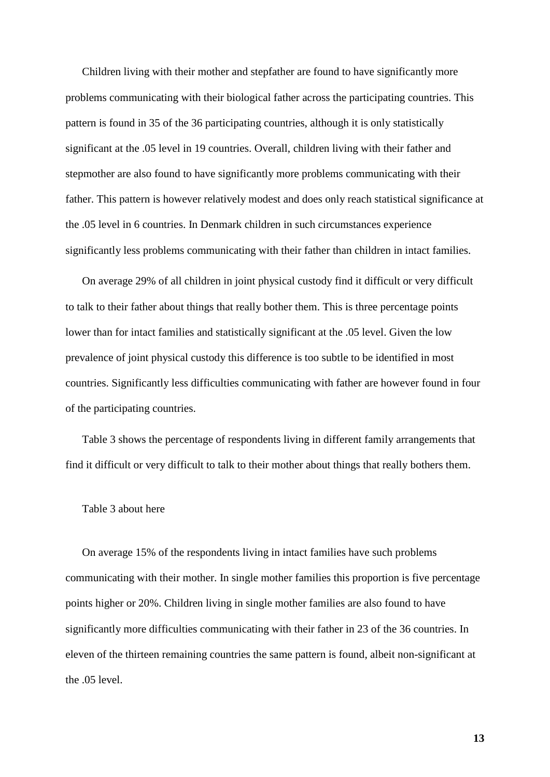Children living with their mother and stepfather are found to have significantly more problems communicating with their biological father across the participating countries. This pattern is found in 35 of the 36 participating countries, although it is only statistically significant at the .05 level in 19 countries. Overall, children living with their father and stepmother are also found to have significantly more problems communicating with their father. This pattern is however relatively modest and does only reach statistical significance at the .05 level in 6 countries. In Denmark children in such circumstances experience significantly less problems communicating with their father than children in intact families.

On average 29% of all children in joint physical custody find it difficult or very difficult to talk to their father about things that really bother them. This is three percentage points lower than for intact families and statistically significant at the .05 level. Given the low prevalence of joint physical custody this difference is too subtle to be identified in most countries. Significantly less difficulties communicating with father are however found in four of the participating countries.

Table 3 shows the percentage of respondents living in different family arrangements that find it difficult or very difficult to talk to their mother about things that really bothers them.

#### Table 3 about here

On average 15% of the respondents living in intact families have such problems communicating with their mother. In single mother families this proportion is five percentage points higher or 20%. Children living in single mother families are also found to have significantly more difficulties communicating with their father in 23 of the 36 countries. In eleven of the thirteen remaining countries the same pattern is found, albeit non-significant at the .05 level.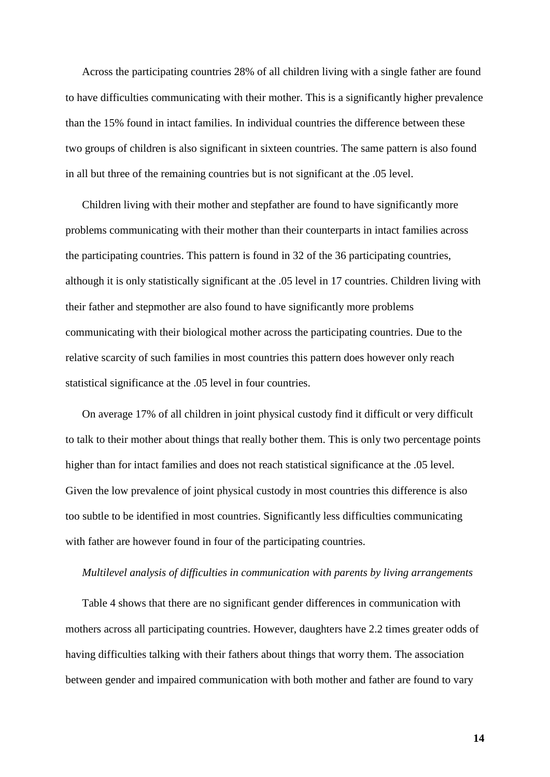Across the participating countries 28% of all children living with a single father are found to have difficulties communicating with their mother. This is a significantly higher prevalence than the 15% found in intact families. In individual countries the difference between these two groups of children is also significant in sixteen countries. The same pattern is also found in all but three of the remaining countries but is not significant at the .05 level.

Children living with their mother and stepfather are found to have significantly more problems communicating with their mother than their counterparts in intact families across the participating countries. This pattern is found in 32 of the 36 participating countries, although it is only statistically significant at the .05 level in 17 countries. Children living with their father and stepmother are also found to have significantly more problems communicating with their biological mother across the participating countries. Due to the relative scarcity of such families in most countries this pattern does however only reach statistical significance at the .05 level in four countries.

On average 17% of all children in joint physical custody find it difficult or very difficult to talk to their mother about things that really bother them. This is only two percentage points higher than for intact families and does not reach statistical significance at the .05 level. Given the low prevalence of joint physical custody in most countries this difference is also too subtle to be identified in most countries. Significantly less difficulties communicating with father are however found in four of the participating countries.

#### *Multilevel analysis of difficulties in communication with parents by living arrangements*

Table 4 shows that there are no significant gender differences in communication with mothers across all participating countries. However, daughters have 2.2 times greater odds of having difficulties talking with their fathers about things that worry them. The association between gender and impaired communication with both mother and father are found to vary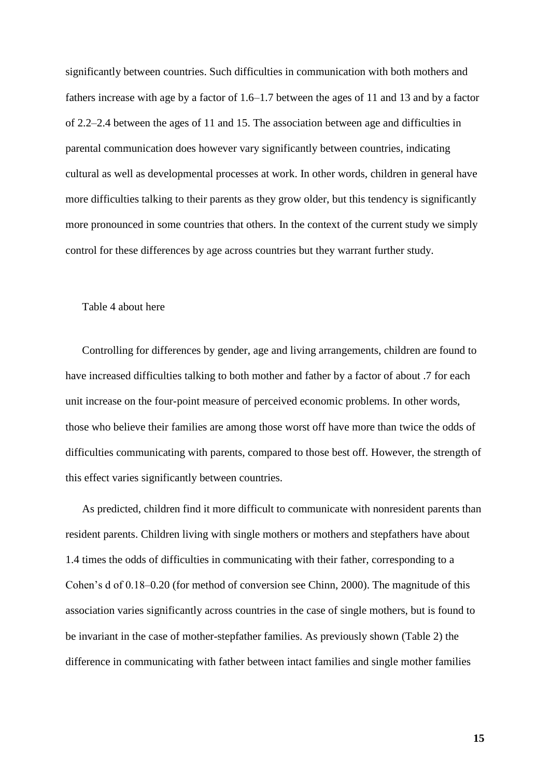significantly between countries. Such difficulties in communication with both mothers and fathers increase with age by a factor of 1.6–1.7 between the ages of 11 and 13 and by a factor of 2.2–2.4 between the ages of 11 and 15. The association between age and difficulties in parental communication does however vary significantly between countries, indicating cultural as well as developmental processes at work. In other words, children in general have more difficulties talking to their parents as they grow older, but this tendency is significantly more pronounced in some countries that others. In the context of the current study we simply control for these differences by age across countries but they warrant further study.

#### Table 4 about here

Controlling for differences by gender, age and living arrangements, children are found to have increased difficulties talking to both mother and father by a factor of about .7 for each unit increase on the four-point measure of perceived economic problems. In other words, those who believe their families are among those worst off have more than twice the odds of difficulties communicating with parents, compared to those best off. However, the strength of this effect varies significantly between countries.

As predicted, children find it more difficult to communicate with nonresident parents than resident parents. Children living with single mothers or mothers and stepfathers have about 1.4 times the odds of difficulties in communicating with their father, corresponding to a Cohen's d of 0.18–0.20 (for method of conversion see Chinn, 2000). The magnitude of this association varies significantly across countries in the case of single mothers, but is found to be invariant in the case of mother-stepfather families. As previously shown (Table 2) the difference in communicating with father between intact families and single mother families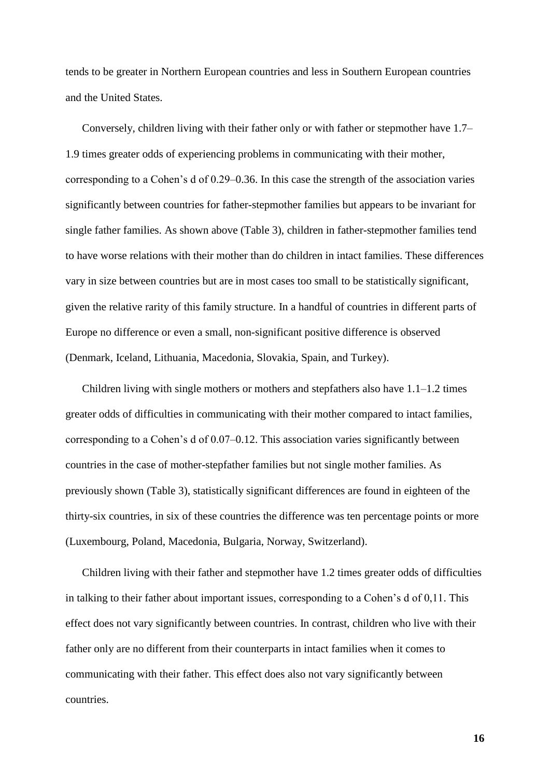tends to be greater in Northern European countries and less in Southern European countries and the United States.

Conversely, children living with their father only or with father or stepmother have 1.7– 1.9 times greater odds of experiencing problems in communicating with their mother, corresponding to a Cohen's d of 0.29–0.36. In this case the strength of the association varies significantly between countries for father-stepmother families but appears to be invariant for single father families. As shown above (Table 3), children in father-stepmother families tend to have worse relations with their mother than do children in intact families. These differences vary in size between countries but are in most cases too small to be statistically significant, given the relative rarity of this family structure. In a handful of countries in different parts of Europe no difference or even a small, non-significant positive difference is observed (Denmark, Iceland, Lithuania, Macedonia, Slovakia, Spain, and Turkey).

Children living with single mothers or mothers and stepfathers also have 1.1–1.2 times greater odds of difficulties in communicating with their mother compared to intact families, corresponding to a Cohen's d of 0.07–0.12. This association varies significantly between countries in the case of mother-stepfather families but not single mother families. As previously shown (Table 3), statistically significant differences are found in eighteen of the thirty-six countries, in six of these countries the difference was ten percentage points or more (Luxembourg, Poland, Macedonia, Bulgaria, Norway, Switzerland).

Children living with their father and stepmother have 1.2 times greater odds of difficulties in talking to their father about important issues, corresponding to a Cohen's d of 0,11. This effect does not vary significantly between countries. In contrast, children who live with their father only are no different from their counterparts in intact families when it comes to communicating with their father. This effect does also not vary significantly between countries.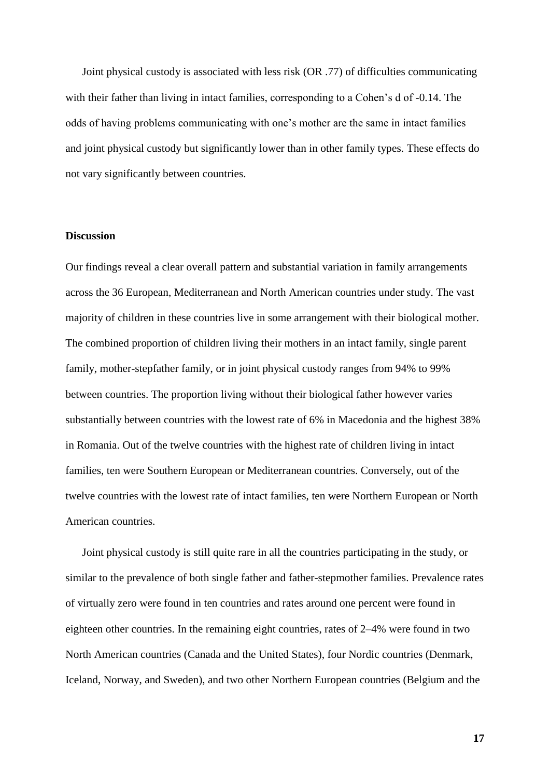Joint physical custody is associated with less risk (OR .77) of difficulties communicating with their father than living in intact families, corresponding to a Cohen's d of -0.14. The odds of having problems communicating with one's mother are the same in intact families and joint physical custody but significantly lower than in other family types. These effects do not vary significantly between countries.

#### **Discussion**

Our findings reveal a clear overall pattern and substantial variation in family arrangements across the 36 European, Mediterranean and North American countries under study. The vast majority of children in these countries live in some arrangement with their biological mother. The combined proportion of children living their mothers in an intact family, single parent family, mother-stepfather family, or in joint physical custody ranges from 94% to 99% between countries. The proportion living without their biological father however varies substantially between countries with the lowest rate of 6% in Macedonia and the highest 38% in Romania. Out of the twelve countries with the highest rate of children living in intact families, ten were Southern European or Mediterranean countries. Conversely, out of the twelve countries with the lowest rate of intact families, ten were Northern European or North American countries.

Joint physical custody is still quite rare in all the countries participating in the study, or similar to the prevalence of both single father and father-stepmother families. Prevalence rates of virtually zero were found in ten countries and rates around one percent were found in eighteen other countries. In the remaining eight countries, rates of 2–4% were found in two North American countries (Canada and the United States), four Nordic countries (Denmark, Iceland, Norway, and Sweden), and two other Northern European countries (Belgium and the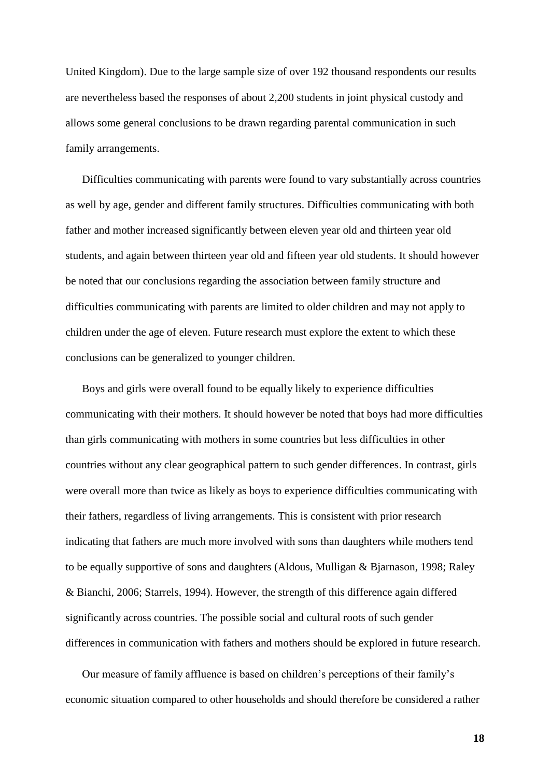United Kingdom). Due to the large sample size of over 192 thousand respondents our results are nevertheless based the responses of about 2,200 students in joint physical custody and allows some general conclusions to be drawn regarding parental communication in such family arrangements.

Difficulties communicating with parents were found to vary substantially across countries as well by age, gender and different family structures. Difficulties communicating with both father and mother increased significantly between eleven year old and thirteen year old students, and again between thirteen year old and fifteen year old students. It should however be noted that our conclusions regarding the association between family structure and difficulties communicating with parents are limited to older children and may not apply to children under the age of eleven. Future research must explore the extent to which these conclusions can be generalized to younger children.

Boys and girls were overall found to be equally likely to experience difficulties communicating with their mothers. It should however be noted that boys had more difficulties than girls communicating with mothers in some countries but less difficulties in other countries without any clear geographical pattern to such gender differences. In contrast, girls were overall more than twice as likely as boys to experience difficulties communicating with their fathers, regardless of living arrangements. This is consistent with prior research indicating that fathers are much more involved with sons than daughters while mothers tend to be equally supportive of sons and daughters (Aldous, Mulligan & Bjarnason, 1998; Raley & Bianchi, 2006; Starrels, 1994). However, the strength of this difference again differed significantly across countries. The possible social and cultural roots of such gender differences in communication with fathers and mothers should be explored in future research.

Our measure of family affluence is based on children's perceptions of their family's economic situation compared to other households and should therefore be considered a rather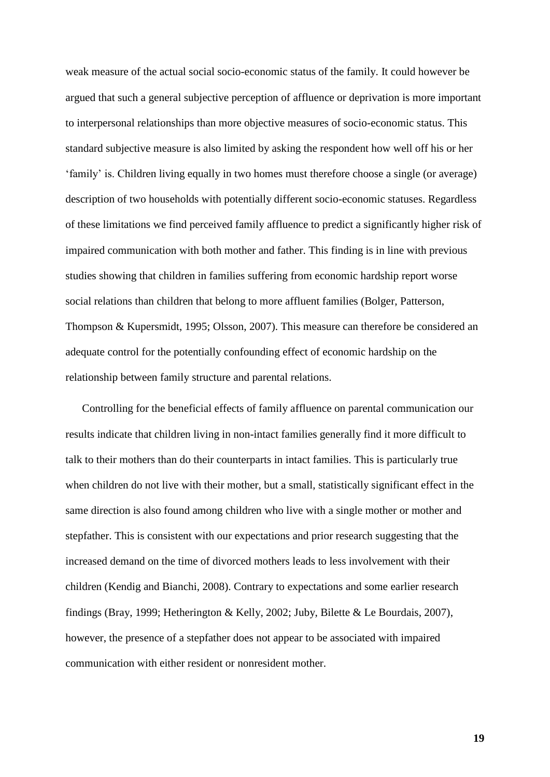weak measure of the actual social socio-economic status of the family. It could however be argued that such a general subjective perception of affluence or deprivation is more important to interpersonal relationships than more objective measures of socio-economic status. This standard subjective measure is also limited by asking the respondent how well off his or her 'family' is. Children living equally in two homes must therefore choose a single (or average) description of two households with potentially different socio-economic statuses. Regardless of these limitations we find perceived family affluence to predict a significantly higher risk of impaired communication with both mother and father. This finding is in line with previous studies showing that children in families suffering from economic hardship report worse social relations than children that belong to more affluent families (Bolger, Patterson, Thompson & Kupersmidt, 1995; Olsson, 2007). This measure can therefore be considered an adequate control for the potentially confounding effect of economic hardship on the relationship between family structure and parental relations.

Controlling for the beneficial effects of family affluence on parental communication our results indicate that children living in non-intact families generally find it more difficult to talk to their mothers than do their counterparts in intact families. This is particularly true when children do not live with their mother, but a small, statistically significant effect in the same direction is also found among children who live with a single mother or mother and stepfather. This is consistent with our expectations and prior research suggesting that the increased demand on the time of divorced mothers leads to less involvement with their children (Kendig and Bianchi, 2008). Contrary to expectations and some earlier research findings (Bray, 1999; Hetherington & Kelly, 2002; Juby, Bilette & Le Bourdais, 2007), however, the presence of a stepfather does not appear to be associated with impaired communication with either resident or nonresident mother.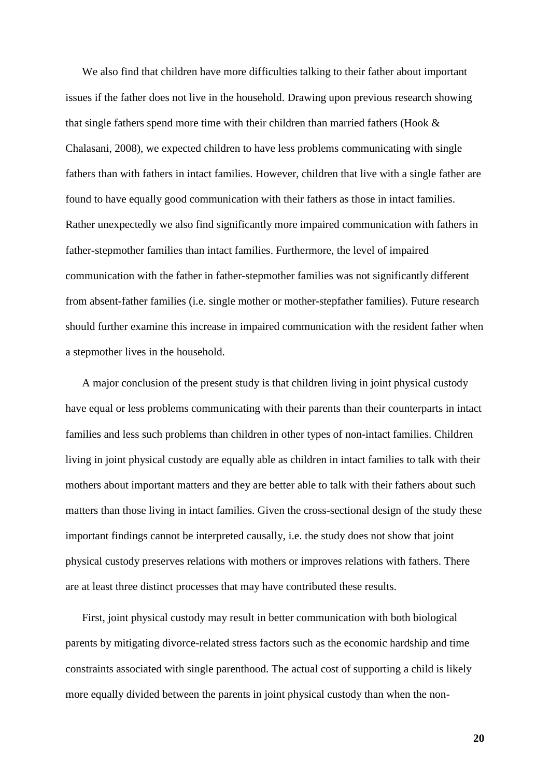We also find that children have more difficulties talking to their father about important issues if the father does not live in the household. Drawing upon previous research showing that single fathers spend more time with their children than married fathers (Hook & Chalasani, 2008), we expected children to have less problems communicating with single fathers than with fathers in intact families. However, children that live with a single father are found to have equally good communication with their fathers as those in intact families. Rather unexpectedly we also find significantly more impaired communication with fathers in father-stepmother families than intact families. Furthermore, the level of impaired communication with the father in father-stepmother families was not significantly different from absent-father families (i.e. single mother or mother-stepfather families). Future research should further examine this increase in impaired communication with the resident father when a stepmother lives in the household.

A major conclusion of the present study is that children living in joint physical custody have equal or less problems communicating with their parents than their counterparts in intact families and less such problems than children in other types of non-intact families. Children living in joint physical custody are equally able as children in intact families to talk with their mothers about important matters and they are better able to talk with their fathers about such matters than those living in intact families. Given the cross-sectional design of the study these important findings cannot be interpreted causally, i.e. the study does not show that joint physical custody preserves relations with mothers or improves relations with fathers. There are at least three distinct processes that may have contributed these results.

First, joint physical custody may result in better communication with both biological parents by mitigating divorce-related stress factors such as the economic hardship and time constraints associated with single parenthood. The actual cost of supporting a child is likely more equally divided between the parents in joint physical custody than when the non-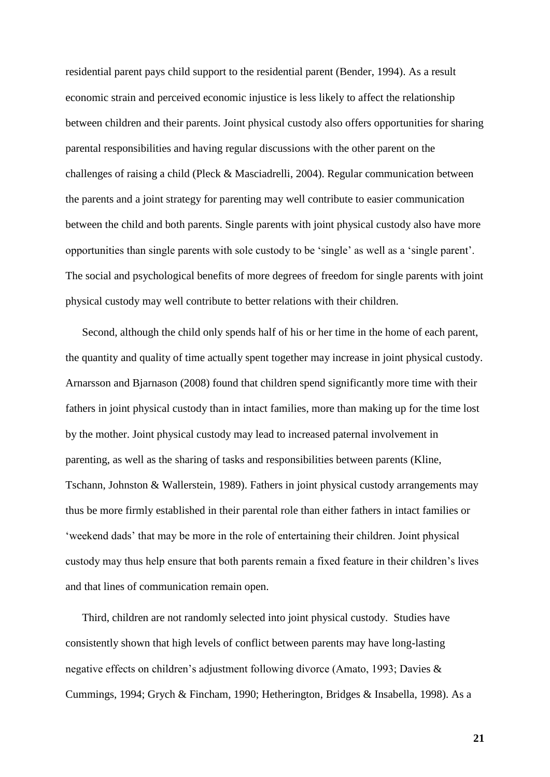residential parent pays child support to the residential parent (Bender, 1994). As a result economic strain and perceived economic injustice is less likely to affect the relationship between children and their parents. Joint physical custody also offers opportunities for sharing parental responsibilities and having regular discussions with the other parent on the challenges of raising a child (Pleck & Masciadrelli, 2004). Regular communication between the parents and a joint strategy for parenting may well contribute to easier communication between the child and both parents. Single parents with joint physical custody also have more opportunities than single parents with sole custody to be 'single' as well as a 'single parent'. The social and psychological benefits of more degrees of freedom for single parents with joint physical custody may well contribute to better relations with their children.

Second, although the child only spends half of his or her time in the home of each parent, the quantity and quality of time actually spent together may increase in joint physical custody. Arnarsson and Bjarnason (2008) found that children spend significantly more time with their fathers in joint physical custody than in intact families, more than making up for the time lost by the mother. Joint physical custody may lead to increased paternal involvement in parenting, as well as the sharing of tasks and responsibilities between parents (Kline, Tschann, Johnston & Wallerstein, 1989). Fathers in joint physical custody arrangements may thus be more firmly established in their parental role than either fathers in intact families or 'weekend dads' that may be more in the role of entertaining their children. Joint physical custody may thus help ensure that both parents remain a fixed feature in their children's lives and that lines of communication remain open.

Third, children are not randomly selected into joint physical custody. Studies have consistently shown that high levels of conflict between parents may have long-lasting negative effects on children's adjustment following divorce (Amato, 1993; Davies & Cummings, 1994; Grych & Fincham, 1990; Hetherington, Bridges & Insabella, 1998). As a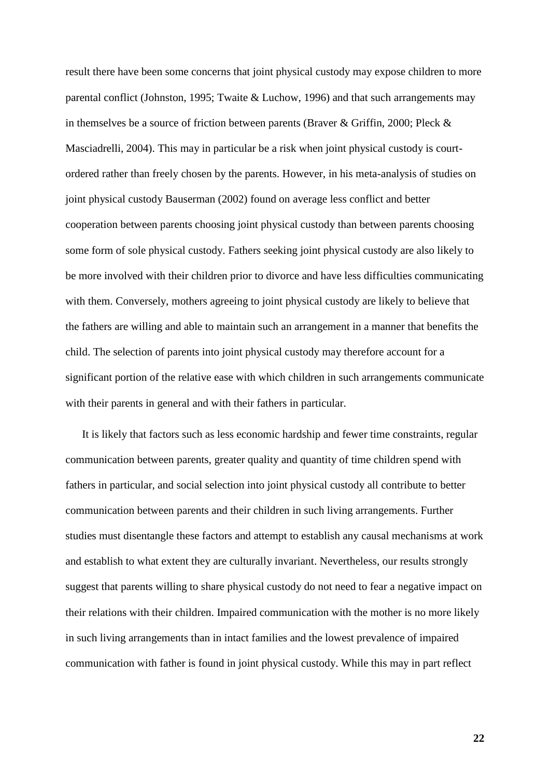result there have been some concerns that joint physical custody may expose children to more parental conflict (Johnston, 1995; Twaite & Luchow, 1996) and that such arrangements may in themselves be a source of friction between parents (Braver & Griffin, 2000; Pleck & Masciadrelli, 2004). This may in particular be a risk when joint physical custody is courtordered rather than freely chosen by the parents. However, in his meta-analysis of studies on joint physical custody Bauserman (2002) found on average less conflict and better cooperation between parents choosing joint physical custody than between parents choosing some form of sole physical custody. Fathers seeking joint physical custody are also likely to be more involved with their children prior to divorce and have less difficulties communicating with them. Conversely, mothers agreeing to joint physical custody are likely to believe that the fathers are willing and able to maintain such an arrangement in a manner that benefits the child. The selection of parents into joint physical custody may therefore account for a significant portion of the relative ease with which children in such arrangements communicate with their parents in general and with their fathers in particular.

It is likely that factors such as less economic hardship and fewer time constraints, regular communication between parents, greater quality and quantity of time children spend with fathers in particular, and social selection into joint physical custody all contribute to better communication between parents and their children in such living arrangements. Further studies must disentangle these factors and attempt to establish any causal mechanisms at work and establish to what extent they are culturally invariant. Nevertheless, our results strongly suggest that parents willing to share physical custody do not need to fear a negative impact on their relations with their children. Impaired communication with the mother is no more likely in such living arrangements than in intact families and the lowest prevalence of impaired communication with father is found in joint physical custody. While this may in part reflect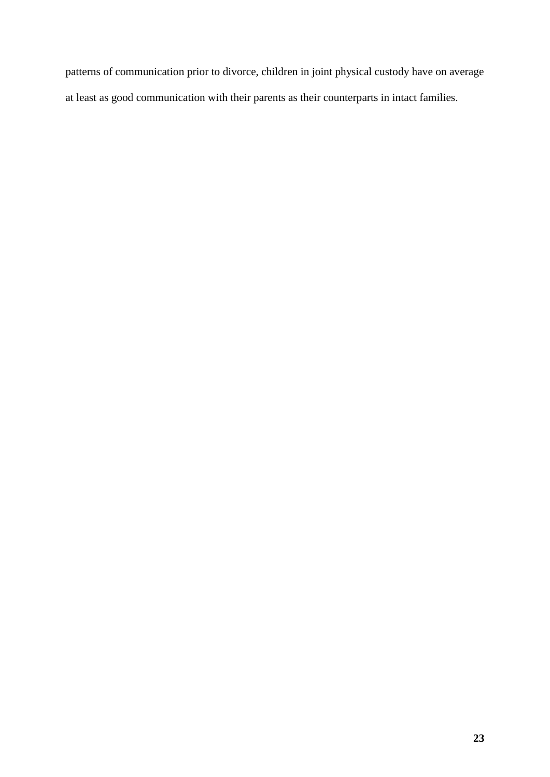patterns of communication prior to divorce, children in joint physical custody have on average at least as good communication with their parents as their counterparts in intact families.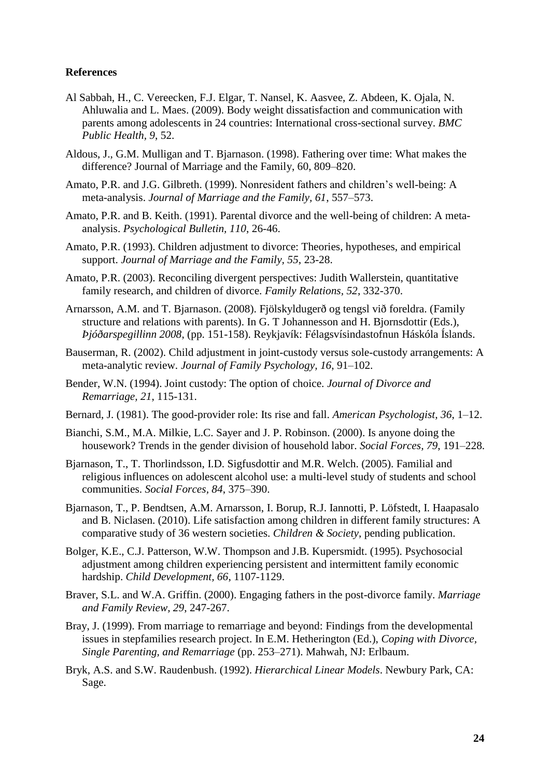#### **References**

- Al Sabbah, H., C. Vereecken, F.J. Elgar, T. Nansel, K. Aasvee, Z. Abdeen, K. Ojala, N. Ahluwalia and L. Maes. (2009). Body weight dissatisfaction and communication with parents among adolescents in 24 countries: International cross-sectional survey. *BMC Public Health, 9*, 52.
- Aldous, J., G.M. Mulligan and T. Bjarnason. (1998). Fathering over time: What makes the difference? Journal of Marriage and the Family, 60, 809–820.
- Amato, P.R. and J.G. Gilbreth. (1999). Nonresident fathers and children's well-being: A meta-analysis. *Journal of Marriage and the Family, 61*, 557–573.
- Amato, P.R. and B. Keith. (1991). Parental divorce and the well-being of children: A metaanalysis. *Psychological Bulletin, 110*, 26-46.
- Amato, P.R. (1993). Children adjustment to divorce: Theories, hypotheses, and empirical support. *Journal of Marriage and the Family, 55*, 23-28.
- Amato, P.R. (2003). Reconciling divergent perspectives: Judith Wallerstein, quantitative family research, and children of divorce. *Family Relations, 52*, 332-370.
- Arnarsson, A.M. and T. Bjarnason. (2008). Fjölskyldugerð og tengsl við foreldra. (Family structure and relations with parents). In G. T Johannesson and H. Bjornsdottir (Eds.), *Þjóðarspegillinn 2008*, (pp. 151-158). Reykjavík: Félagsvísindastofnun Háskóla Íslands.
- Bauserman, R. (2002). Child adjustment in joint-custody versus sole-custody arrangements: A meta-analytic review. *Journal of Family Psychology, 16*, 91–102.
- Bender, W.N. (1994). Joint custody: The option of choice. *Journal of Divorce and Remarriage, 21*, 115-131.
- Bernard, J. (1981). The good-provider role: Its rise and fall. *American Psychologist, 36*, 1–12.
- Bianchi, S.M., M.A. Milkie, L.C. Sayer and J. P. Robinson. (2000). Is anyone doing the housework? Trends in the gender division of household labor. *Social Forces, 79*, 191–228.
- Bjarnason, T., T. Thorlindsson, I.D. Sigfusdottir and M.R. Welch. (2005). Familial and religious influences on adolescent alcohol use: a multi-level study of students and school communities. *Social Forces, 84*, 375–390.
- Bjarnason, T., P. Bendtsen, A.M. Arnarsson, I. Borup, R.J. Iannotti, P. Löfstedt, I. Haapasalo and B. Niclasen. (2010). Life satisfaction among children in different family structures: A comparative study of 36 western societies. *Children & Society*, pending publication.
- Bolger, K.E., C.J. Patterson, W.W. Thompson and J.B. Kupersmidt. (1995). Psychosocial adjustment among children experiencing persistent and intermittent family economic hardship. *Child Development, 66*, 1107-1129.
- Braver, S.L. and W.A. Griffin. (2000). Engaging fathers in the post-divorce family. *Marriage and Family Review, 29*, 247-267.
- Bray, J. (1999). From marriage to remarriage and beyond: Findings from the developmental issues in stepfamilies research project. In E.M. Hetherington (Ed.), *Coping with Divorce, Single Parenting, and Remarriage* (pp. 253–271). Mahwah, NJ: Erlbaum.
- Bryk, A.S. and S.W. Raudenbush. (1992). *Hierarchical Linear Models*. Newbury Park, CA: Sage.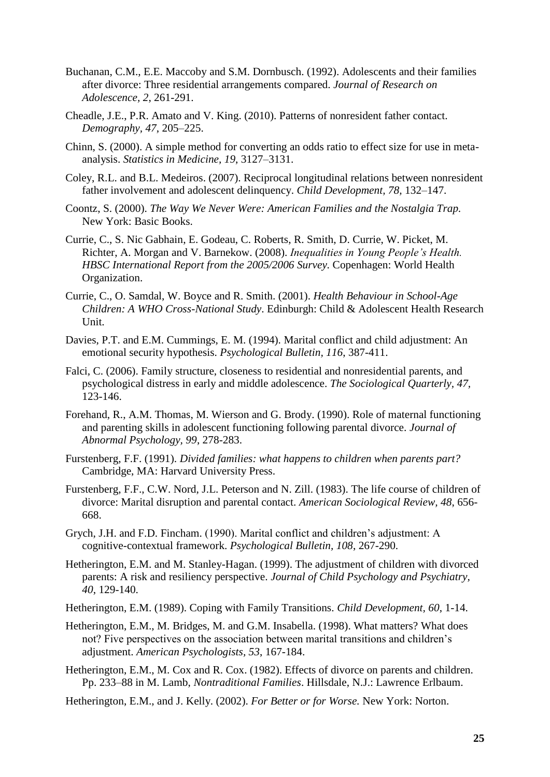- Buchanan, C.M., E.E. Maccoby and S.M. Dornbusch. (1992). Adolescents and their families after divorce: Three residential arrangements compared. *Journal of Research on Adolescence, 2*, 261-291.
- Cheadle, J.E., P.R. Amato and V. King. (2010). Patterns of nonresident father contact. *Demography, 47*, 205–225.
- Chinn, S. (2000). A simple method for converting an odds ratio to effect size for use in metaanalysis. *Statistics in Medicine, 19*, 3127–3131.
- Coley, R.L. and B.L. Medeiros. (2007). Reciprocal longitudinal relations between nonresident father involvement and adolescent delinquency. *Child Development, 78,* 132–147.
- Coontz, S. (2000). *The Way We Never Were: American Families and the Nostalgia Trap.* New York: Basic Books.
- Currie, C., S. Nic Gabhain, E. Godeau, C. Roberts, R. Smith, D. Currie, W. Picket, M. Richter, A. Morgan and V. Barnekow. (2008). *Inequalities in Young People's Health. HBSC International Report from the 2005/2006 Survey.* Copenhagen: World Health Organization.
- Currie, C., O. Samdal, W. Boyce and R. Smith. (2001). *Health Behaviour in School-Age Children: A WHO Cross-National Study*. Edinburgh: Child & Adolescent Health Research Unit.
- Davies, P.T. and E.M. Cummings, E. M. (1994). Marital conflict and child adjustment: An emotional security hypothesis. *Psychological Bulletin, 116*, 387-411.
- Falci, C. (2006). Family structure, closeness to residential and nonresidential parents, and psychological distress in early and middle adolescence. *The Sociological Quarterly, 47,* 123-146.
- Forehand, R., A.M. Thomas, M. Wierson and G. Brody. (1990). Role of maternal functioning and parenting skills in adolescent functioning following parental divorce. *Journal of Abnormal Psychology, 99*, 278-283.
- Furstenberg, F.F. (1991). *Divided families: what happens to children when parents part?* Cambridge, MA: Harvard University Press.
- Furstenberg, F.F., C.W. Nord, J.L. Peterson and N. Zill. (1983). The life course of children of divorce: Marital disruption and parental contact. *American Sociological Review, 48*, 656- 668.
- Grych, J.H. and F.D. Fincham. (1990). Marital conflict and children's adjustment: A cognitive-contextual framework. *Psychological Bulletin, 108*, 267-290.
- Hetherington, E.M. and M. Stanley-Hagan. (1999). The adjustment of children with divorced parents: A risk and resiliency perspective. *Journal of Child Psychology and Psychiatry, 40*, 129-140.
- Hetherington, E.M. (1989). Coping with Family Transitions. *Child Development, 60*, 1-14.
- Hetherington, E.M., M. Bridges, M. and G.M. Insabella. (1998). What matters? What does not? Five perspectives on the association between marital transitions and children's adjustment. *American Psychologists, 53*, 167-184.
- Hetherington, E.M., M. Cox and R. Cox. (1982). Effects of divorce on parents and children. Pp. 233–88 in M. Lamb, *Nontraditional Families*. Hillsdale, N.J.: Lawrence Erlbaum.
- Hetherington, E.M., and J. Kelly. (2002). *For Better or for Worse.* New York: Norton.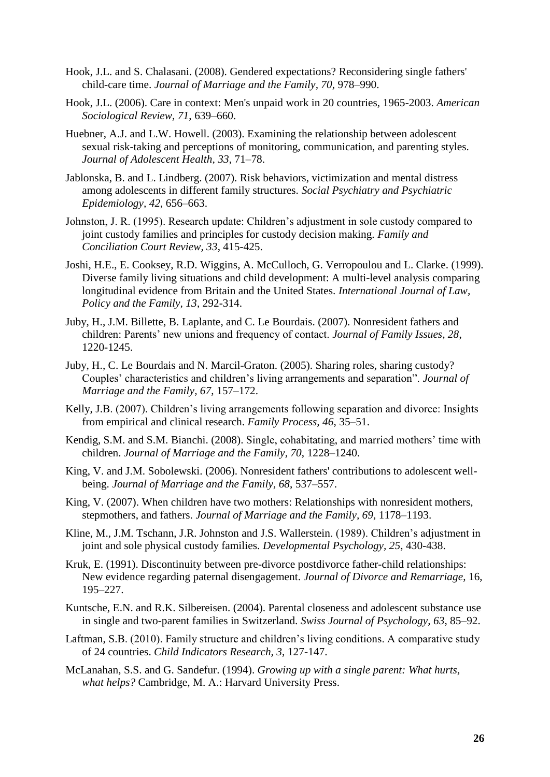- Hook, J.L. and S. Chalasani. (2008). Gendered expectations? Reconsidering single fathers' child-care time. *Journal of Marriage and the Family, 70*, 978–990.
- Hook, J.L. (2006). Care in context: Men's unpaid work in 20 countries, 1965-2003. *American Sociological Review, 71*, 639–660.
- Huebner, A.J. and L.W. Howell. (2003). Examining the relationship between adolescent sexual risk-taking and perceptions of monitoring, communication, and parenting styles. *Journal of Adolescent Health, 33*, 71–78.
- Jablonska, B. and L. Lindberg. (2007). Risk behaviors, victimization and mental distress among adolescents in different family structures. *Social Psychiatry and Psychiatric Epidemiology, 42*, 656–663.
- Johnston, J. R. (1995). Research update: Children's adjustment in sole custody compared to joint custody families and principles for custody decision making. *Family and Conciliation Court Review, 33*, 415-425.
- Joshi, H.E., E. Cooksey, R.D. Wiggins, A. McCulloch, G. Verropoulou and L. Clarke. (1999). Diverse family living situations and child development: A multi-level analysis comparing longitudinal evidence from Britain and the United States. *International Journal of Law, Policy and the Family, 13*, 292-314.
- Juby, H., J.M. Billette, B. Laplante, and C. Le Bourdais. (2007). Nonresident fathers and children: Parents' new unions and frequency of contact. *Journal of Family Issues, 28*, 1220-1245.
- Juby, H., C. Le Bourdais and N. Marcil-Graton. (2005). Sharing roles, sharing custody? Couples' characteristics and children's living arrangements and separation". *Journal of Marriage and the Family, 67*, 157–172.
- Kelly, J.B. (2007). Children's living arrangements following separation and divorce: Insights from empirical and clinical research. *Family Process, 46*, 35–51.
- Kendig, S.M. and S.M. Bianchi. (2008). [Single, cohabitating, and married mothers' time with](http://apps.isiknowledge.com/full_record.do?product=WOS&colname=WOS&search_mode=CitingArticles&qid=12&SID=Z28iH9FfLA@EcDNNa84&page=1&doc=7)  [children.](http://apps.isiknowledge.com/full_record.do?product=WOS&colname=WOS&search_mode=CitingArticles&qid=12&SID=Z28iH9FfLA@EcDNNa84&page=1&doc=7) *Journal of Marriage and the Family, 70*, 1228–1240.
- King, V. and J.M. Sobolewski. (2006). Nonresident fathers' contributions to adolescent wellbeing. *Journal of Marriage and the Family, 68*, 537–557.
- King, V. (2007). When children have two mothers: Relationships with nonresident mothers, stepmothers, and fathers. *Journal of Marriage and the Family, 69*, 1178–1193.
- Kline, M., J.M. Tschann, J.R. Johnston and J.S. Wallerstein. (1989). Children's adjustment in joint and sole physical custody families. *Developmental Psychology, 25*, 430-438.
- Kruk, E. (1991). Discontinuity between pre-divorce postdivorce father-child relationships: New evidence regarding paternal disengagement. *Journal of Divorce and Remarriage*, 16, 195–227.
- Kuntsche, E.N. and R.K. Silbereisen. (2004). Parental closeness and adolescent substance use in single and two-parent families in Switzerland. *Swiss Journal of Psychology, 63*, 85–92.
- Laftman, S.B. (2010). Family structure and children's living conditions. A comparative study of 24 countries. *Child Indicators Research, 3*, 127-147.
- McLanahan, S.S. and G. Sandefur. (1994). *Growing up with a single parent: What hurts, what helps?* Cambridge, M. A.: Harvard University Press.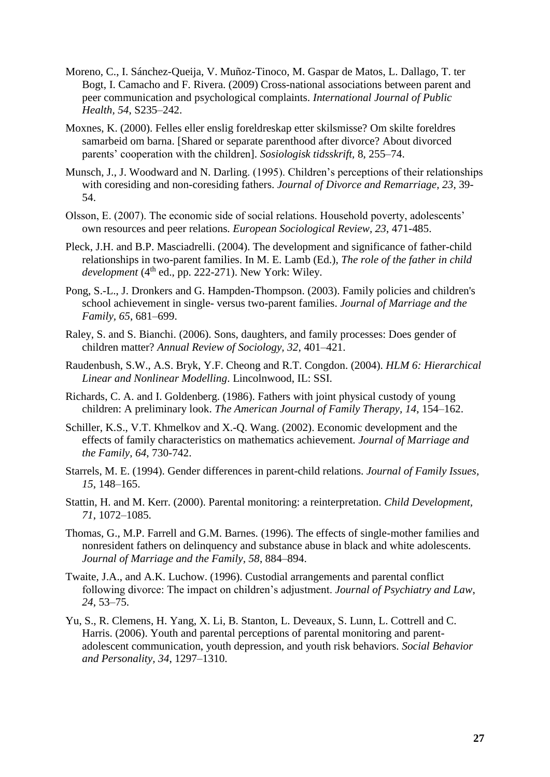- Moreno, C., I. Sánchez-Queija, V. Muñoz-Tinoco, M. Gaspar de Matos, L. Dallago, T. ter Bogt, I. Camacho and F. Rivera. (2009) Cross-national associations between parent and peer communication and psychological complaints. *International Journal of Public Health, 54*, S235–242.
- Moxnes, K. (2000). Felles eller enslig foreldreskap etter skilsmisse? Om skilte foreldres samarbeid om barna. [Shared or separate parenthood after divorce? About divorced parents' cooperation with the children]. *Sosiologisk tidsskrift,* 8, 255–74.
- Munsch, J., J. Woodward and N. Darling. (1995). Children's perceptions of their relationships with coresiding and non-coresiding fathers. *Journal of Divorce and Remarriage, 23*, 39- 54.
- Olsson, E. (2007). The economic side of social relations. Household poverty, adolescents' own resources and peer relations*. European Sociological Review, 23*, 471-485.
- Pleck, J.H. and B.P. Masciadrelli. (2004). The development and significance of father-child relationships in two-parent families. In M. E. Lamb (Ed.), *The role of the father in child*   $development(4<sup>th</sup> ed., pp. 222-271)$ . New York: Wiley.
- Pong, S.-L., J. Dronkers and G. Hampden-Thompson. (2003). Family policies and children's school achievement in single- versus two-parent families. *Journal of Marriage and the Family, 65*, 681–699.
- Raley, S. and S. Bianchi. (2006). Sons, daughters, and family processes: Does gender of children matter? *Annual Review of Sociology, 32*, 401–421.
- Raudenbush, S.W., A.S. Bryk, Y.F. Cheong and R.T. Congdon. (2004). *HLM 6: Hierarchical Linear and Nonlinear Modelling*. Lincolnwood, IL: SSI.
- Richards, C. A. and I. Goldenberg. (1986). Fathers with joint physical custody of young children: A preliminary look. *The American Journal of Family Therapy, 14*, 154–162.
- Schiller, K.S., V.T. Khmelkov and X.-Q. Wang. (2002). Economic development and the effects of family characteristics on mathematics achievement*. Journal of Marriage and the Family, 64*, 730-742.
- Starrels, M. E. (1994). Gender differences in parent-child relations. *Journal of Family Issues, 15*, 148–165.
- Stattin, H. and M. Kerr. (2000). Parental monitoring: a reinterpretation. *Child Development, 71*, 1072–1085.
- Thomas, G., M.P. Farrell and G.M. Barnes. (1996). The effects of single-mother families and nonresident fathers on delinquency and substance abuse in black and white adolescents. *Journal of Marriage and the Family, 58*, 884–894.
- Twaite, J.A., and A.K. Luchow. (1996). Custodial arrangements and parental conflict following divorce: The impact on children's adjustment. *Journal of Psychiatry and Law*, *24*, 53–75.
- Yu, S., R. Clemens, H. Yang, X. Li, B. Stanton, L. Deveaux, S. Lunn, L. Cottrell and C. Harris. (2006). Youth and parental perceptions of parental monitoring and parentadolescent communication, youth depression, and youth risk behaviors. *Social Behavior and Personality, 34*, 1297–1310.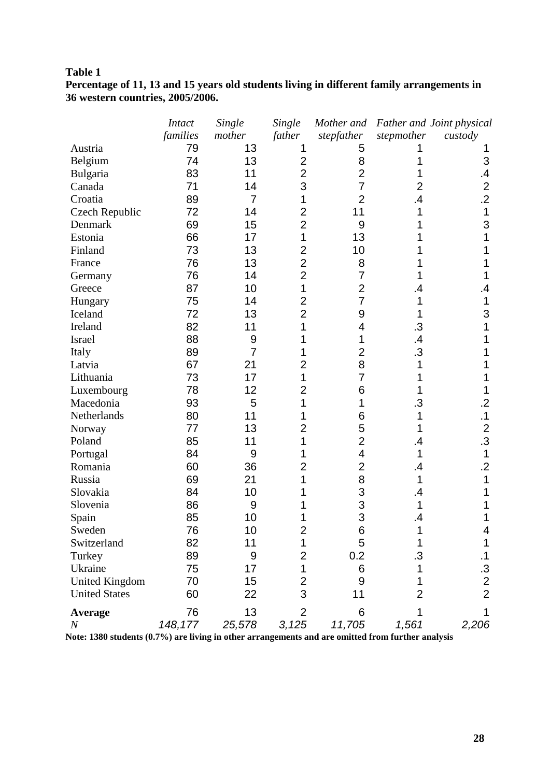### **Percentage of 11, 13 and 15 years old students living in different family arrangements in 36 western countries, 2005/2006.**

|                       | <b>Intact</b> | Single         | Single         | Mother and               |                | Father and Joint physical |
|-----------------------|---------------|----------------|----------------|--------------------------|----------------|---------------------------|
|                       | families      | mother         | father         | stepfather               | stepmother     | custody                   |
| Austria               | 79            | 13             | 1              | 5                        |                |                           |
| Belgium               | 74            | 13             | $\overline{2}$ | 8                        |                | 3                         |
| Bulgaria              | 83            | 11             | $\overline{2}$ | $\overline{2}$           |                | $\cdot$                   |
| Canada                | 71            | 14             | 3              | $\overline{7}$           | 2              | $\overline{2}$            |
| Croatia               | 89            | $\overline{7}$ | 1              | $\overline{2}$           | 4              | $\overline{2}$            |
| Czech Republic        | 72            | 14             | $\overline{2}$ | 11                       |                | 1                         |
| Denmark               | 69            | 15             | $\overline{2}$ | 9                        |                | 3                         |
| Estonia               | 66            | 17             | 1              | 13                       |                |                           |
| Finland               | 73            | 13             | $\overline{2}$ | 10                       |                |                           |
| France                | 76            | 13             | $\overline{2}$ | 8                        |                |                           |
| Germany               | 76            | 14             | $\overline{2}$ | 7                        |                |                           |
| Greece                | 87            | 10             | 1              | $\overline{2}$           |                |                           |
| Hungary               | 75            | 14             | $\overline{2}$ | 7                        |                |                           |
| Iceland               | 72            | 13             | $\overline{2}$ | 9                        |                | 3                         |
| Ireland               | 82            | 11             |                | 4                        | .3             |                           |
| Israel                | 88            | 9              |                | 1                        | .4             |                           |
| Italy                 | 89            | $\overline{7}$ |                | $\overline{2}$           | $\overline{3}$ |                           |
| Latvia                | 67            | 21             | $\overline{2}$ | 8                        |                |                           |
| Lithuania             | 73            | 17             | 1              | $\overline{7}$           |                |                           |
| Luxembourg            | 78            | 12             | $\overline{2}$ | 6                        |                |                           |
| Macedonia             | 93            | 5              | 1              | 1                        | .3             | .2                        |
| Netherlands           | 80            | 11             |                | 6                        |                | $\cdot$ 1                 |
| Norway                | 77            | 13             | $\overline{2}$ | 5                        |                | $\overline{2}$            |
| Poland                | 85            | 11             | 1              | $\overline{2}$           |                | .3                        |
| Portugal              | 84            | 9              |                | $\overline{\mathcal{A}}$ |                | 1                         |
| Romania               | 60            | 36             | $\overline{2}$ | $\overline{2}$           | .4             | $\cdot$                   |
| Russia                | 69            | 21             |                | 8                        |                |                           |
| Slovakia              | 84            | 10             |                | 3                        |                |                           |
| Slovenia              | 86            | 9              |                | $\frac{3}{3}$            |                |                           |
| Spain                 | 85            | 10             |                |                          |                |                           |
| Sweden                | 76            | 10             | 2              | $\,6$                    |                | 4                         |
| Switzerland           | 82            | 11             | 1              | 5                        |                | 1                         |
| Turkey                | 89            | 9              | $\overline{c}$ | 0.2                      | .3             | $\cdot$ 1                 |
| Ukraine               | 75            | 17             | 1              | 6                        |                |                           |
| <b>United Kingdom</b> | 70            | 15             | $\overline{2}$ | 9                        |                | $\frac{.3}{2}$            |
| <b>United States</b>  | 60            | 22             | 3              | 11                       | 2              | $\overline{2}$            |
| Average               | 76            | 13             | $\overline{2}$ | 6                        |                | 1                         |
| $\boldsymbol{N}$      | 148,177       | 25,578         | 3,125          | 11,705                   | 1,561          | 2,206                     |

**Note: 1380 students (0.7%) are living in other arrangements and are omitted from further analysis**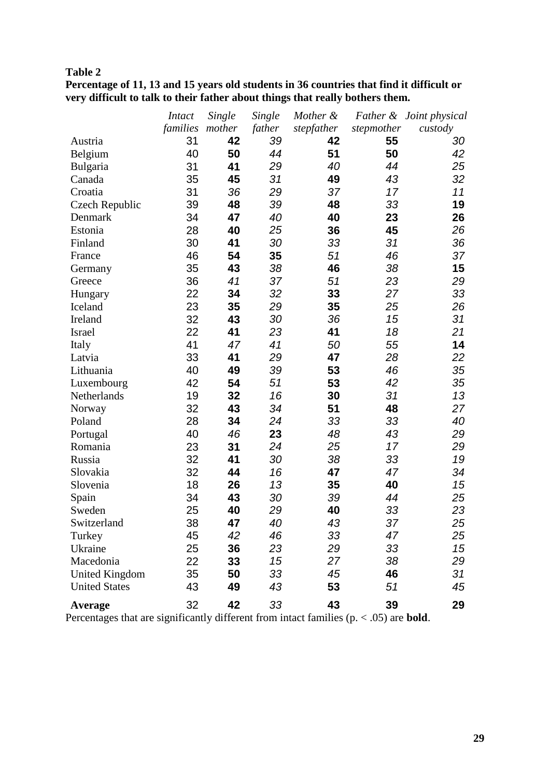| .                                                                                        |
|------------------------------------------------------------------------------------------|
| Percentage of 11, 13 and 15 years old students in 36 countries that find it difficult or |
| very difficult to talk to their father about things that really bothers them.            |

|                       | <i>Intact</i> | Single | Single | Mother &   |            | Father & Joint physical |
|-----------------------|---------------|--------|--------|------------|------------|-------------------------|
|                       | families      | mother | father | stepfather | stepmother | custody                 |
| Austria               | 31            | 42     | 39     | 42         | 55         | 30                      |
| Belgium               | 40            | 50     | 44     | 51         | 50         | 42                      |
| Bulgaria              | 31            | 41     | 29     | 40         | 44         | 25                      |
| Canada                | 35            | 45     | 31     | 49         | 43         | 32                      |
| Croatia               | 31            | 36     | 29     | 37         | 17         | 11                      |
| <b>Czech Republic</b> | 39            | 48     | 39     | 48         | 33         | 19                      |
| Denmark               | 34            | 47     | 40     | 40         | 23         | 26                      |
| Estonia               | 28            | 40     | 25     | 36         | 45         | 26                      |
| Finland               | 30            | 41     | 30     | 33         | 31         | 36                      |
| France                | 46            | 54     | 35     | 51         | 46         | 37                      |
| Germany               | 35            | 43     | 38     | 46         | 38         | 15                      |
| Greece                | 36            | 41     | 37     | 51         | 23         | 29                      |
| Hungary               | 22            | 34     | 32     | 33         | 27         | 33                      |
| Iceland               | 23            | 35     | 29     | 35         | 25         | 26                      |
| Ireland               | 32            | 43     | 30     | 36         | 15         | 31                      |
| Israel                | 22            | 41     | 23     | 41         | 18         | 21                      |
| Italy                 | 41            | 47     | 41     | 50         | 55         | 14                      |
| Latvia                | 33            | 41     | 29     | 47         | 28         | 22                      |
| Lithuania             | 40            | 49     | 39     | 53         | 46         | 35                      |
| Luxembourg            | 42            | 54     | 51     | 53         | 42         | 35                      |
| Netherlands           | 19            | 32     | 16     | 30         | 31         | 13                      |
| Norway                | 32            | 43     | 34     | 51         | 48         | 27                      |
| Poland                | 28            | 34     | 24     | 33         | 33         | 40                      |
| Portugal              | 40            | 46     | 23     | 48         | 43         | 29                      |
| Romania               | 23            | 31     | 24     | 25         | 17         | 29                      |
| Russia                | 32            | 41     | 30     | 38         | 33         | 19                      |
| Slovakia              | 32            | 44     | 16     | 47         | 47         | 34                      |
| Slovenia              | 18            | 26     | 13     | 35         | 40         | 15                      |
| Spain                 | 34            | 43     | 30     | 39         | 44         | 25                      |
| Sweden                | 25            | 40     | 29     | 40         | 33         | 23                      |
| Switzerland           | 38            | 47     | 40     | 43         | 37         | 25                      |
| Turkey                | 45            | 42     | 46     | 33         | 47         | 25                      |
| Ukraine               | 25            | 36     | 23     | 29         | 33         | 15                      |
| Macedonia             | 22            | 33     | 15     | 27         | 38         | 29                      |
| <b>United Kingdom</b> | 35            | 50     | 33     | 45         | 46         | 31                      |
| <b>United States</b>  | 43            | 49     | 43     | 53         | 51         | 45                      |
| Average               | 32            | 42     | 33     | 43         | 39         | 29                      |

Percentages that are significantly different from intact families (p. < .05) are **bold**.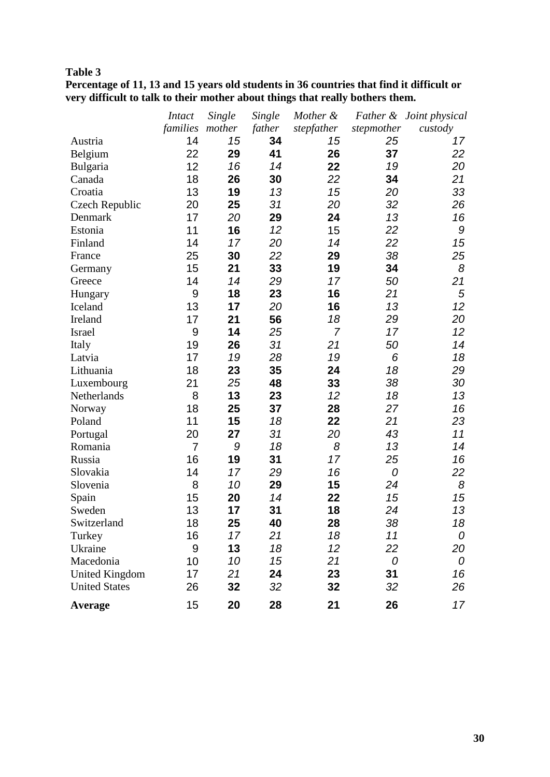| ________                                                                                 |
|------------------------------------------------------------------------------------------|
| Percentage of 11, 13 and 15 years old students in 36 countries that find it difficult or |
| very difficult to talk to their mother about things that really bothers them.            |

|                       | <i>Intact</i>   | Single | Single | Mother &       |            | Father & Joint physical |
|-----------------------|-----------------|--------|--------|----------------|------------|-------------------------|
|                       | families mother |        | father | stepfather     | stepmother | custody                 |
| Austria               | 14              | 15     | 34     | 15             | 25         | 17                      |
| Belgium               | 22              | 29     | 41     | 26             | 37         | 22                      |
| Bulgaria              | 12              | 16     | 14     | 22             | 19         | 20                      |
| Canada                | 18              | 26     | 30     | 22             | 34         | 21                      |
| Croatia               | 13              | 19     | 13     | 15             | 20         | 33                      |
| Czech Republic        | 20              | 25     | 31     | 20             | 32         | 26                      |
| Denmark               | 17              | 20     | 29     | 24             | 13         | 16                      |
| Estonia               | 11              | 16     | 12     | 15             | 22         | 9                       |
| Finland               | 14              | 17     | 20     | 14             | 22         | 15                      |
| France                | 25              | 30     | 22     | 29             | 38         | 25                      |
| Germany               | 15              | 21     | 33     | 19             | 34         | 8                       |
| Greece                | 14              | 14     | 29     | 17             | 50         | 21                      |
| Hungary               | 9               | 18     | 23     | 16             | 21         | 5                       |
| Iceland               | 13              | 17     | 20     | 16             | 13         | 12                      |
| Ireland               | 17              | 21     | 56     | 18             | 29         | 20                      |
| Israel                | 9               | 14     | 25     | $\overline{7}$ | 17         | 12 <sup>2</sup>         |
| Italy                 | 19              | 26     | 31     | 21             | 50         | 14                      |
| Latvia                | 17              | 19     | 28     | 19             | 6          | 18                      |
| Lithuania             | 18              | 23     | 35     | 24             | 18         | 29                      |
| Luxembourg            | 21              | 25     | 48     | 33             | 38         | 30                      |
| Netherlands           | 8               | 13     | 23     | 12             | 18         | 13                      |
| Norway                | 18              | 25     | 37     | 28             | 27         | 16                      |
| Poland                | 11              | 15     | 18     | 22             | 21         | 23                      |
| Portugal              | 20              | 27     | 31     | 20             | 43         | 11                      |
| Romania               | $\overline{7}$  | 9      | 18     | 8              | 13         | 14                      |
| Russia                | 16              | 19     | 31     | 17             | 25         | 16                      |
| Slovakia              | 14              | 17     | 29     | 16             | 0          | 22                      |
| Slovenia              | 8               | 10     | 29     | 15             | 24         | 8                       |
| Spain                 | 15              | 20     | 14     | 22             | 15         | 15                      |
| Sweden                | 13              | 17     | 31     | 18             | 24         | 13                      |
| Switzerland           | 18              | 25     | 40     | 28             | 38         | 18                      |
| Turkey                | 16              | 17     | 21     | 18             | 11         | 0                       |
| Ukraine               | 9               | 13     | 18     | 12             | 22         | 20                      |
| Macedonia             | 10              | 10     | 15     | 21             | 0          | 0                       |
| <b>United Kingdom</b> | 17              | 21     | 24     | 23             | 31         | 16                      |
| <b>United States</b>  | 26              | 32     | 32     | 32             | 32         | 26                      |
| Average               | 15              | 20     | 28     | 21             | 26         | 17                      |